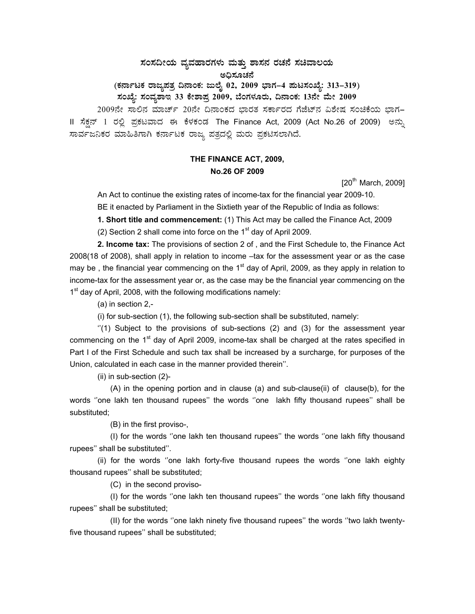## $\,$ ಸಂಸದೀಯ ವ್ಯವಹಾರಗಳು ಮತ್ತು ಶಾಸನ ರಚನೆ ಸಚಿವಾಲಯ ಅಧಿಸೂಚನೆ

(ಕರ್ನಾಟಕ ರಾಜ್ಯಪತ್ರ ದಿನಾಂಕ: ಜುಲೈ 02, 2009 ಭಾಗ–4 **ಪುಟಸಂಖ್ಯೆ: 313–319**)

# **¸ÀASÉå: ¸ÀAªÀå±ÁE 33 PÉñÁ¥Àæ 2009, ¨ÉAUÀ¼ÀÆgÀÄ, ¢£ÁAPÀ: 13£Éà ªÉÄà 2009**

2009ನೇ ಸಾಲಿನ ಮಾರ್ಚ್ 20ನೇ ದಿನಾಂಕದ ಭಾರತ ಸರ್ಕಾರದ ಗೆಜೆಟ್ ವಿಶೇಷ ಸಂಚಿಕೆಯ ಭಾಗ-II ಸೆಕ್ಷನ್ 1 ರಲ್ಲಿ ಪ್ರಕಟವಾದ ಈ ಕೆಳಕಂಡ The Finance Act, 2009 (Act No.26 of 2009) ಅನ್ನು ಸಾರ್ವಜನಿಕರ ಮಾಹಿತಿಗಾಗಿ ಕರ್ನಾಟಕ ರಾಜ್ಯ ಪತ್ರದಲ್ಲಿ ಮರು ಪ್ರಕಟಿಸಲಾಗಿದೆ.

## **THE FINANCE ACT, 2009, No.26 OF 2009**

 $[20^{th}$  March, 2009]

An Act to continue the existing rates of income-tax for the financial year 2009-10.

BE it enacted by Parliament in the Sixtieth year of the Republic of India as follows:

**1. Short title and commencement:** (1) This Act may be called the Finance Act, 2009

(2) Section 2 shall come into force on the  $1<sup>st</sup>$  day of April 2009.

**2. Income tax:** The provisions of section 2 of , and the First Schedule to, the Finance Act 2008(18 of 2008), shall apply in relation to income –tax for the assessment year or as the case may be, the financial year commencing on the  $1<sup>st</sup>$  day of April, 2009, as they apply in relation to income-tax for the assessment year or, as the case may be the financial year commencing on the 1<sup>st</sup> day of April, 2008, with the following modifications namely:

(a) in section 2,-

(i) for sub-section (1), the following sub-section shall be substituted, namely:

 $''(1)$  Subject to the provisions of sub-sections (2) and (3) for the assessment year commencing on the 1<sup>st</sup> day of April 2009, income-tax shall be charged at the rates specified in Part I of the First Schedule and such tax shall be increased by a surcharge, for purposes of the Union, calculated in each case in the manner provided therein''.

(ii) in sub-section (2)-

 (A) in the opening portion and in clause (a) and sub-clause(ii) of clause(b), for the words ''one lakh ten thousand rupees'' the words ''one lakh fifty thousand rupees'' shall be substituted;

(B) in the first proviso-,

 (I) for the words ''one lakh ten thousand rupees'' the words ''one lakh fifty thousand rupees'' shall be substituted''.

 (ii) for the words ''one lakh forty-five thousand rupees the words ''one lakh eighty thousand rupees'' shall be substituted;

(C) in the second proviso-

 (I) for the words ''one lakh ten thousand rupees'' the words ''one lakh fifty thousand rupees'' shall be substituted;

 (II) for the words ''one lakh ninety five thousand rupees'' the words ''two lakh twentyfive thousand rupees'' shall be substituted;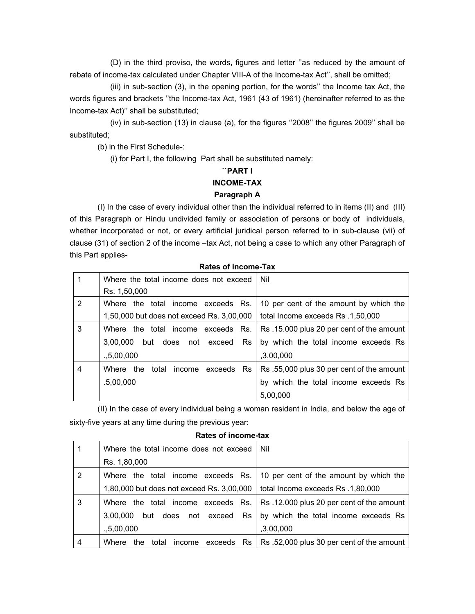(D) in the third proviso, the words, figures and letter ''as reduced by the amount of rebate of income-tax calculated under Chapter VIII-A of the Income-tax Act'', shall be omitted;

 (iii) in sub-section (3), in the opening portion, for the words'' the Income tax Act, the words figures and brackets ''the Income-tax Act, 1961 (43 of 1961) (hereinafter referred to as the Income-tax Act)'' shall be substituted;

 (iv) in sub-section (13) in clause (a), for the figures ''2008'' the figures 2009'' shall be substituted;

(b) in the First Schedule-:

(i) for Part I, the following Part shall be substituted namely:

## **``PART I**

## **INCOME-TAX**

## **Paragraph A**

(I) In the case of every individual other than the individual referred to in items (II) and (III) of this Paragraph or Hindu undivided family or association of persons or body of individuals, whether incorporated or not, or every artificial juridical person referred to in sub-clause (vii) of clause (31) of section 2 of the income -tax Act, not being a case to which any other Paragraph of this Part applies-

|                | Where the total income does not exceed             | Nil                                      |
|----------------|----------------------------------------------------|------------------------------------------|
|                | Rs. 1,50,000                                       |                                          |
| $\overline{2}$ | Where the total income exceeds Rs.                 | 10 per cent of the amount by which the   |
|                | 1,50,000 but does not exceed Rs. 3,00,000          | total Income exceeds Rs .1,50,000        |
| 3              | exceeds Rs.<br>Where the total income              | Rs.15.000 plus 20 per cent of the amount |
|                | <b>Rs</b><br>does<br>not exceed<br>3.00.000<br>but | by which the total income exceeds Rs     |
|                | .5,00,000                                          | ,3,00,000                                |
| 4              | Where<br>the<br>total<br>exceeds Rs<br>income      | Rs.55,000 plus 30 per cent of the amount |
|                | .5,00,000                                          | by which the total income exceeds Rs     |
|                |                                                    | 5,00,000                                 |

## **Rates of income-Tax**

(II) In the case of every individual being a woman resident in India, and below the age of sixty-five years at any time during the previous year:

## **Rates of income-tax**

|   | Where the total income does not exceed    | Nil                                                                 |
|---|-------------------------------------------|---------------------------------------------------------------------|
|   | Rs. 1,80,000                              |                                                                     |
| 2 | Where the total income exceeds Rs.        | 10 per cent of the amount by which the                              |
|   | 1,80,000 but does not exceed Rs. 3,00,000 | total Income exceeds Rs .1,80,000                                   |
| 3 | Where the total income exceeds Rs.        | Rs.12.000 plus 20 per cent of the amount                            |
|   | Rs<br>3.00.000<br>but does<br>not exceed  | by which the total income exceeds Rs                                |
|   | .5,00,000                                 | ,3,00,000                                                           |
| 4 | Where<br>total<br>income<br>the           | exceeds $\overline{Rs}$   Rs .52,000 plus 30 per cent of the amount |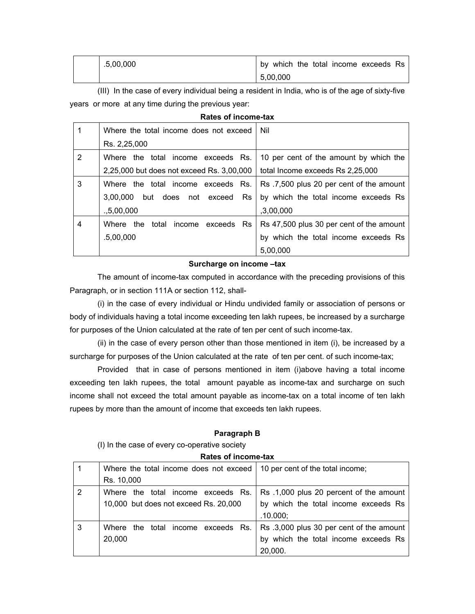| .5,00,000 | by which the total income exceeds Rs |
|-----------|--------------------------------------|
|           | 5,00,000                             |

 (III) In the case of every individual being a resident in India, who is of the age of sixty-five years or more at any time during the previous year:

| Rates of income-tax |                                             |                                          |
|---------------------|---------------------------------------------|------------------------------------------|
|                     | Where the total income does not exceed      | Nil                                      |
|                     | Rs. 2,25,000                                |                                          |
| $\overline{2}$      | Where the total income exceeds Rs.          | 10 per cent of the amount by which the   |
|                     | 2,25,000 but does not exceed Rs. 3,00,000   | total Income exceeds Rs 2,25,000         |
| 3                   | Where the total income exceeds Rs.          | Rs.7,500 plus 20 per cent of the amount  |
|                     | 3,00,000<br>Rs<br>but<br>does<br>not exceed | by which the total income exceeds Rs     |
|                     | 0.5,00,000                                  | ,3,00,000                                |
| $\overline{4}$      | total<br>Where the<br>exceeds Rs<br>income  | Rs 47,500 plus 30 per cent of the amount |
|                     | .5,00,000                                   | by which the total income exceeds Rs     |
|                     |                                             | 5,00,000                                 |

#### **Surcharge on income –tax**

The amount of income-tax computed in accordance with the preceding provisions of this Paragraph, or in section 111A or section 112, shall-

 (i) in the case of every individual or Hindu undivided family or association of persons or body of individuals having a total income exceeding ten lakh rupees, be increased by a surcharge for purposes of the Union calculated at the rate of ten per cent of such income-tax.

 (ii) in the case of every person other than those mentioned in item (i), be increased by a surcharge for purposes of the Union calculated at the rate of ten per cent. of such income-tax;

 Provided that in case of persons mentioned in item (i)above having a total income exceeding ten lakh rupees, the total amount payable as income-tax and surcharge on such income shall not exceed the total amount payable as income-tax on a total income of ten lakh rupees by more than the amount of income that exceeds ten lakh rupees.

#### **Paragraph B**

(I) In the case of every co-operative society

## **Rates of income-tax**

|                | Where the total income does not exceed   10 per cent of the total income; |                                          |
|----------------|---------------------------------------------------------------------------|------------------------------------------|
|                | Rs. 10,000                                                                |                                          |
| $\overline{2}$ | Where the total income exceeds Rs.                                        | Rs.1,000 plus 20 percent of the amount   |
|                | 10,000 but does not exceed Rs. 20,000                                     | by which the total income exceeds Rs     |
|                |                                                                           | .10.000;                                 |
| 3              | Where the total income exceeds Rs.                                        | Rs .3,000 plus 30 per cent of the amount |
|                | 20,000                                                                    | by which the total income exceeds Rs     |
|                |                                                                           | 20,000.                                  |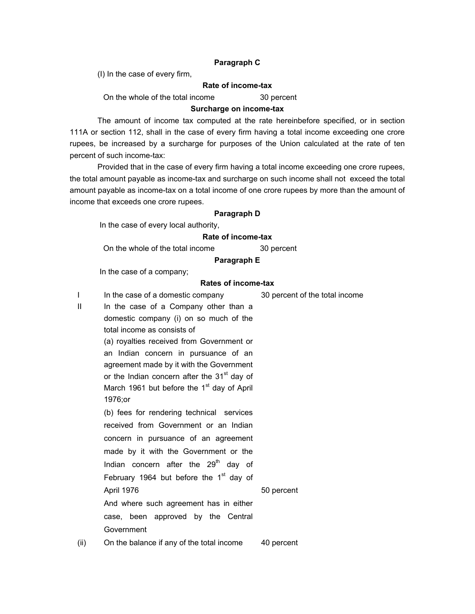#### **Paragraph C**

(I) In the case of every firm,

## **Rate of income-tax**

On the whole of the total income 30 percent

#### **Surcharge on income-tax**

The amount of income tax computed at the rate hereinbefore specified, or in section 111A or section 112, shall in the case of every firm having a total income exceeding one crore rupees, be increased by a surcharge for purposes of the Union calculated at the rate of ten percent of such income-tax:

 Provided that in the case of every firm having a total income exceeding one crore rupees, the total amount payable as income-tax and surcharge on such income shall not exceed the total amount payable as income-tax on a total income of one crore rupees by more than the amount of income that exceeds one crore rupees.

#### **Paragraph D**

In the case of every local authority,

## **Rate of income-tax**

On the whole of the total income 30 percent

#### **Paragraph E**

In the case of a company;

#### **Rates of income-tax**

50 percent

I In the case of a domestic company 30 percent of the total income

II In the case of a Company other than a domestic company (i) on so much of the total income as consists of (a) royalties received from Government or an Indian concern in pursuance of an agreement made by it with the Government

or the Indian concern after the 31<sup>st</sup> day of

March 1961 but before the  $1<sup>st</sup>$  day of April 1976;or

(b) fees for rendering technical services received from Government or an Indian concern in pursuance of an agreement made by it with the Government or the Indian concern after the  $29<sup>th</sup>$  day of February 1964 but before the  $1<sup>st</sup>$  day of April 1976 And where such agreement has in either

case, been approved by the Central Government

(ii) On the balance if any of the total income 40 percent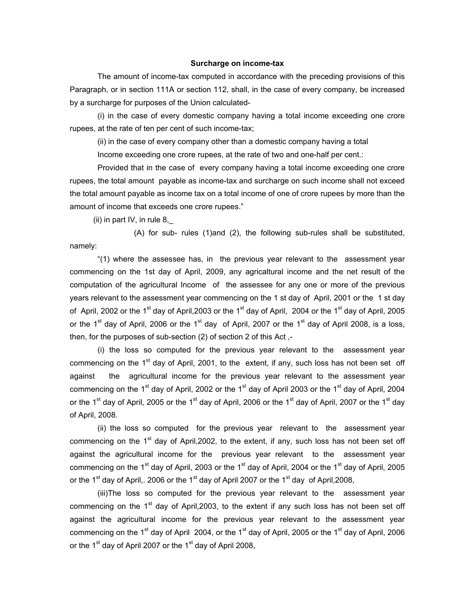#### **Surcharge on income-tax**

The amount of income-tax computed in accordance with the preceding provisions of this Paragraph, or in section 111A or section 112, shall, in the case of every company, be increased by a surcharge for purposes of the Union calculated-

 (i) in the case of every domestic company having a total income exceeding one crore rupees, at the rate of ten per cent of such income-tax;

(ii) in the case of every company other than a domestic company having a total

Income exceeding one crore rupees, at the rate of two and one-half per cent.:

 Provided that in the case of every company having a total income exceeding one crore rupees, the total amount payable as income-tax and surcharge on such income shall not exceed the total amount payable as income tax on a total income of one of crore rupees by more than the amount of income that exceeds one crore rupees."

(ii) in part IV, in rule  $8_{,}$ 

 (A) for sub- rules (1)and (2), the following sub-rules shall be substituted, namely:

 "(1) where the assessee has, in the previous year relevant to the assessment year commencing on the 1st day of April, 2009, any agricaltural income and the net result of the computation of the agricultural Income of the assessee for any one or more of the previous years relevant to the assessment year commencing on the 1 st day of April, 2001 or the 1 st day of April, 2002 or the 1<sup>st</sup> day of April, 2003 or the 1<sup>st</sup> day of April, 2004 or the 1<sup>st</sup> day of April, 2005 or the 1<sup>st</sup> day of April, 2006 or the 1<sup>st</sup> day of April, 2007 or the 1<sup>st</sup> day of April 2008, is a loss, then, for the purposes of sub-section (2) of section 2 of this Act ,-

 (i) the loss so computed for the previous year relevant to the assessment year commencing on the  $1<sup>st</sup>$  day of April, 2001, to the extent, if any, such loss has not been set off against the agricultural income for the previous year relevant to the assessment year commencing on the 1<sup>st</sup> day of April, 2002 or the 1<sup>st</sup> day of April 2003 or the 1<sup>st</sup> day of April, 2004 or the 1<sup>st</sup> day of April, 2005 or the 1<sup>st</sup> day of April, 2006 or the 1<sup>st</sup> day of April, 2007 or the 1<sup>st</sup> day of April, 2008.

 (ii) the loss so computed for the previous year relevant to the assessment year commencing on the  $1<sup>st</sup>$  day of April, 2002, to the extent, if any, such loss has not been set off against the agricultural income for the previous year relevant to the assessment year commencing on the 1<sup>st</sup> day of April, 2003 or the 1<sup>st</sup> day of April, 2004 or the 1<sup>st</sup> day of April, 2005 or the 1<sup>st</sup> day of April,. 2006 or the 1<sup>st</sup> day of April 2007 or the 1<sup>st</sup> day of April, 2008,

 (iii)The loss so computed for the previous year relevant to the assessment year commencing on the  $1<sup>st</sup>$  day of April, 2003, to the extent if any such loss has not been set off against the agricultural income for the previous year relevant to the assessment year commencing on the 1<sup>st</sup> day of April 2004, or the 1<sup>st</sup> day of April, 2005 or the 1<sup>st</sup> day of April, 2006 or the 1<sup>st</sup> day of April 2007 or the 1<sup>st</sup> day of April 2008,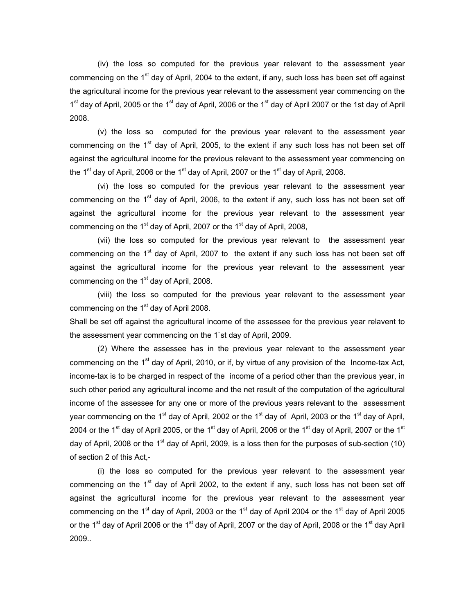(iv) the loss so computed for the previous year relevant to the assessment year commencing on the  $1<sup>st</sup>$  day of April, 2004 to the extent, if any, such loss has been set off against the agricultural income for the previous year relevant to the assessment year commencing on the 1<sup>st</sup> day of April, 2005 or the 1<sup>st</sup> day of April, 2006 or the 1<sup>st</sup> day of April 2007 or the 1st day of April 2008.

 (v) the loss so computed for the previous year relevant to the assessment year commencing on the  $1<sup>st</sup>$  day of April, 2005, to the extent if any such loss has not been set off against the agricultural income for the previous relevant to the assessment year commencing on the 1<sup>st</sup> day of April, 2006 or the 1<sup>st</sup> day of April, 2007 or the 1<sup>st</sup> day of April, 2008.

 (vi) the loss so computed for the previous year relevant to the assessment year commencing on the 1<sup>st</sup> day of April, 2006, to the extent if any, such loss has not been set off against the agricultural income for the previous year relevant to the assessment year commencing on the 1<sup>st</sup> day of April, 2007 or the 1<sup>st</sup> day of April, 2008,

 (vii) the loss so computed for the previous year relevant to the assessment year commencing on the  $1<sup>st</sup>$  day of April, 2007 to the extent if any such loss has not been set off against the agricultural income for the previous year relevant to the assessment year commencing on the  $1<sup>st</sup>$  day of April, 2008.

 (viii) the loss so computed for the previous year relevant to the assessment year commencing on the  $1<sup>st</sup>$  day of April 2008.

Shall be set off against the agricultural income of the assessee for the previous year relavent to the assessment year commencing on the 1`st day of April, 2009.

 (2) Where the assessee has in the previous year relevant to the assessment year commencing on the  $1<sup>st</sup>$  day of April, 2010, or if, by virtue of any provision of the Income-tax Act, income-tax is to be charged in respect of the income of a period other than the previous year, in such other period any agricultural income and the net result of the computation of the agricultural income of the assessee for any one or more of the previous years relevant to the assessment year commencing on the 1<sup>st</sup> day of April, 2002 or the 1<sup>st</sup> day of April, 2003 or the 1<sup>st</sup> day of April, 2004 or the 1<sup>st</sup> day of April 2005, or the 1<sup>st</sup> day of April, 2006 or the 1<sup>st</sup> day of April, 2007 or the 1<sup>st</sup> day of April, 2008 or the 1<sup>st</sup> day of April, 2009, is a loss then for the purposes of sub-section (10) of section 2 of this Act,-

 (i) the loss so computed for the previous year relevant to the assessment year commencing on the  $1<sup>st</sup>$  day of April 2002, to the extent if any, such loss has not been set off against the agricultural income for the previous year relevant to the assessment year commencing on the 1<sup>st</sup> day of April, 2003 or the 1<sup>st</sup> day of April 2004 or the 1<sup>st</sup> day of April 2005 or the 1<sup>st</sup> day of April 2006 or the 1<sup>st</sup> day of April, 2007 or the day of April, 2008 or the 1<sup>st</sup> day April 2009..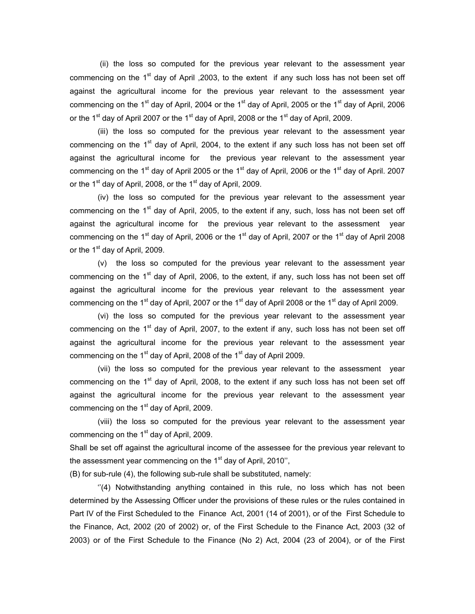(ii) the loss so computed for the previous year relevant to the assessment year commencing on the  $1<sup>st</sup>$  day of April , 2003, to the extent if any such loss has not been set off against the agricultural income for the previous year relevant to the assessment year commencing on the 1<sup>st</sup> day of April, 2004 or the 1<sup>st</sup> day of April, 2005 or the 1<sup>st</sup> day of April, 2006 or the 1<sup>st</sup> day of April 2007 or the 1<sup>st</sup> day of April, 2008 or the 1<sup>st</sup> day of April, 2009.

(iii) the loss so computed for the previous year relevant to the assessment year commencing on the  $1<sup>st</sup>$  day of April, 2004, to the extent if any such loss has not been set off against the agricultural income for the previous year relevant to the assessment year commencing on the 1<sup>st</sup> day of April 2005 or the 1<sup>st</sup> day of April, 2006 or the 1<sup>st</sup> day of April. 2007 or the 1<sup>st</sup> day of April, 2008, or the 1<sup>st</sup> day of April, 2009.

(iv) the loss so computed for the previous year relevant to the assessment year commencing on the  $1<sup>st</sup>$  day of April, 2005, to the extent if any, such, loss has not been set off against the agricultural income for the previous year relevant to the assessment year commencing on the 1<sup>st</sup> day of April, 2006 or the 1<sup>st</sup> day of April, 2007 or the 1<sup>st</sup> day of April 2008 or the  $1<sup>st</sup>$  day of April, 2009.

(v) the loss so computed for the previous year relevant to the assessment year commencing on the  $1<sup>st</sup>$  day of April, 2006, to the extent, if any, such loss has not been set off against the agricultural income for the previous year relevant to the assessment year commencing on the 1<sup>st</sup> day of April, 2007 or the 1<sup>st</sup> day of April 2008 or the 1<sup>st</sup> day of April 2009.

(vi) the loss so computed for the previous year relevant to the assessment year commencing on the  $1<sup>st</sup>$  day of April, 2007, to the extent if any, such loss has not been set off against the agricultural income for the previous year relevant to the assessment year commencing on the 1<sup>st</sup> day of April, 2008 of the 1<sup>st</sup> day of April 2009.

(vii) the loss so computed for the previous year relevant to the assessment year commencing on the  $1<sup>st</sup>$  day of April, 2008, to the extent if any such loss has not been set off against the agricultural income for the previous year relevant to the assessment year commencing on the  $1<sup>st</sup>$  day of April, 2009.

(viii) the loss so computed for the previous year relevant to the assessment year commencing on the  $1<sup>st</sup>$  day of April, 2009.

Shall be set off against the agricultural income of the assessee for the previous year relevant to the assessment year commencing on the  $1<sup>st</sup>$  day of April, 2010",

(B) for sub-rule (4), the following sub-rule shall be substituted, namely:

 ''(4) Notwithstanding anything contained in this rule, no loss which has not been determined by the Assessing Officer under the provisions of these rules or the rules contained in Part IV of the First Scheduled to the Finance Act, 2001 (14 of 2001), or of the First Schedule to the Finance, Act, 2002 (20 of 2002) or, of the First Schedule to the Finance Act, 2003 (32 of 2003) or of the First Schedule to the Finance (No 2) Act, 2004 (23 of 2004), or of the First